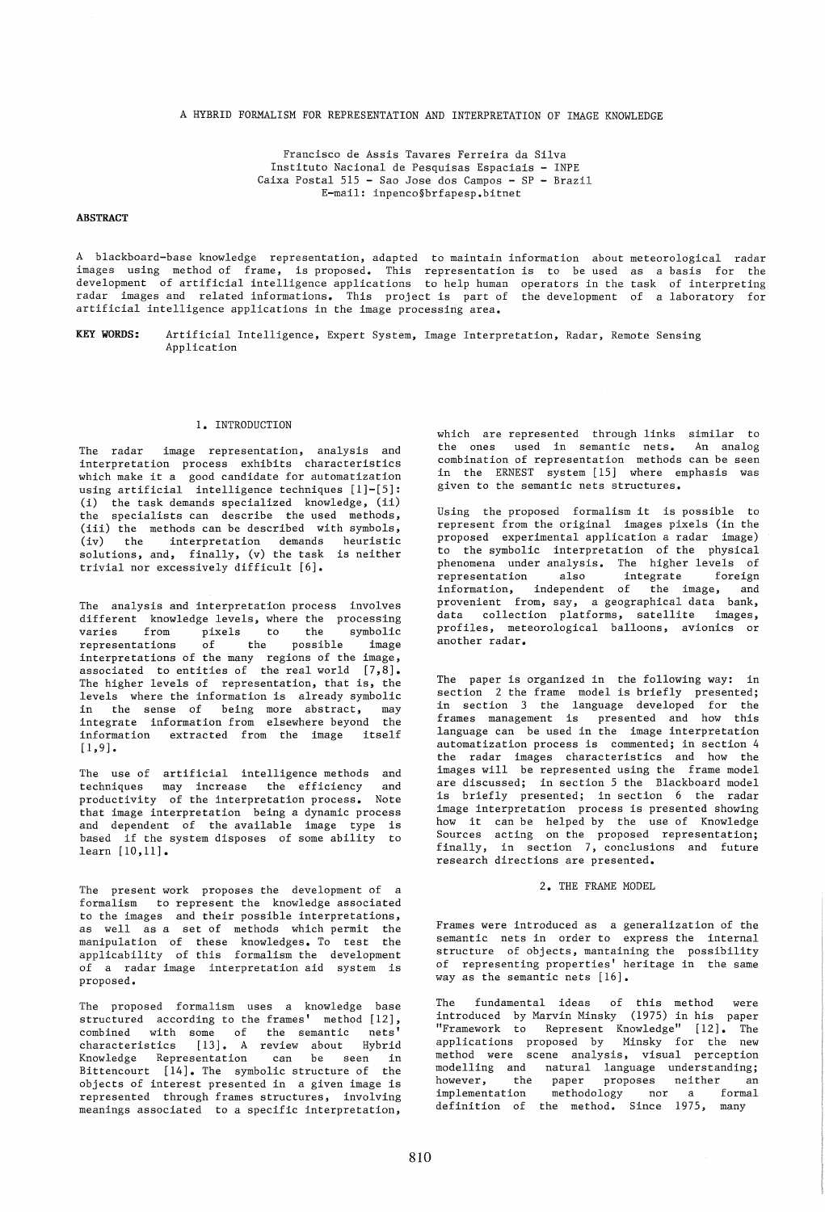#### A HYBRID FORMALISM FOR REPRESENTATION AND INTERPRETATION OF IMAGE KNOWLEDGE

Francisco de Assis Tavares Ferreira da Silva Instituto Nacional de Pesquisas Espaciais - INPE Caixa Postal 515 - Sao Jose dos Campos - SP - Brazil E-mail: inpenco§brfapesp.bitnet

## **ABSTRACT**

A blackboard-base knowledge representation, adapted to maintain information about meteorological radar images using method of frame, is proposed. This representation is to be used images using method-of frame, is-proposed. This representation-is to be-used as a-basis for the<br>development of-artificial-intelligence-applications to-help-human operators in-the-task of-interpreting radar images and related informations. This project is part of the development of a laboratory for artificial intelligence applications in the image processing area. task of interpreting

KEY WORDS: Artificial Intelligence, Expert System, Image Interpretation, Radar, Remote Sensing Application

#### 1. INTRODUCTION

The radar image representation, analysis and interpretation process exhibits characteristics which make it a good candidate for automatization using artificial intelligence techniques [1]-[5]: (i) the task demands specialized knowledge, (ii) the specialists can describe the used methods, (iii) the methods can be described with symbols, (iv) the interpretation demands heuristic solutions, and, finally, (v) the task is neither trivial nor excessively difficult [6].

The analysis and interpretation process involves different knowledge levels, where the processing<br>varies from pixels to the symbolic varies from pixels to the<br>representations of the possib representations of the possible image interpretations of the many regions of the image, associated to entities of the real world  $[7, 8]$ . The higher levels of representation, that is, the levels where the information is already symbolic in the sense of being more abstract, may integrate information from elsewhere beyond the information extracted from the image  $[1,9]$ .

The use of artificial intelligence methods and techniques may increase the efficiency and productivity of the interpretation process. Note that image interpretation being a dynamic process and dependent of the available image type is based if the system disposes of some ability to learn [10,11].

The present work proposes the development of a formalism to represent the knowledge associated to the images and their possible interpretations, as well as a set of methods which permit the manipulation of these knowledges. To test the applicability of this formalism the development of a radar image interpretation aid system is proposed.

The proposed formalism uses a knowledge base structured according to the frames' method [12], combined with some of the semantic nets' characteristics [13]. A review about Hybrid Knowledge Representation can be seen in Bittencourt [14]. The symbolic structure of the objects of interest presented in a given image is represented through frames structures, involving meanings associated to a specific interpretation,

which are represented through links similar to the ones used in semantic nets. An analog combination of representation methods can be seen in the ERNEST system [15] where emphasis was given to the semantic nets structures.

Using the proposed formalism it is possible to represent from the original images pixels (in the proposed experimental application a radar image) to the symbolic interpretation of the physical phenomena under analysis. The higher levels of .<br>representation also integrate foreign information, independent of the image, and provenient from, say, a geographical data bank, data collection platforms, satellite images, profiles, meteorological balloons, avionics or another radar.

The paper is organized in the following way: in section 2 the frame model is briefly presented; in section 3 the language developed for the frames management is presented and how this language can be used in the image interpretation automatization process is commented; in section 4 the radar images characteristics and how the images will be represented using the frame model are discussed; in section 5 the Blackboard model is briefly presented; in section 6 the radar image interpretation process is presented showing how it can be helped by the use of Knowledge Sources acting on the proposed representation; finally, in section 7, conclusions and future research directions are presented.

### 2. THE FRAME MODEL

Frames were introduced as a generalization of the semantic nets in order to express the internal structure of objects, mantaining the possibility of representing properties' heritage in the same way as the semantic nets [16].

The fundamental ideas of this method were introduced by Marvin Minsky (1975) in his paper "Framework to Represent Knowledge" [12]. The applications proposed by Minsky for the new method were scene analysis, visual perception modelling and natural language understanding; however, the paper proposes neither an implementation methodology nor a formal implementation methodology nor a formal<br>definition of the method. Since 1975, many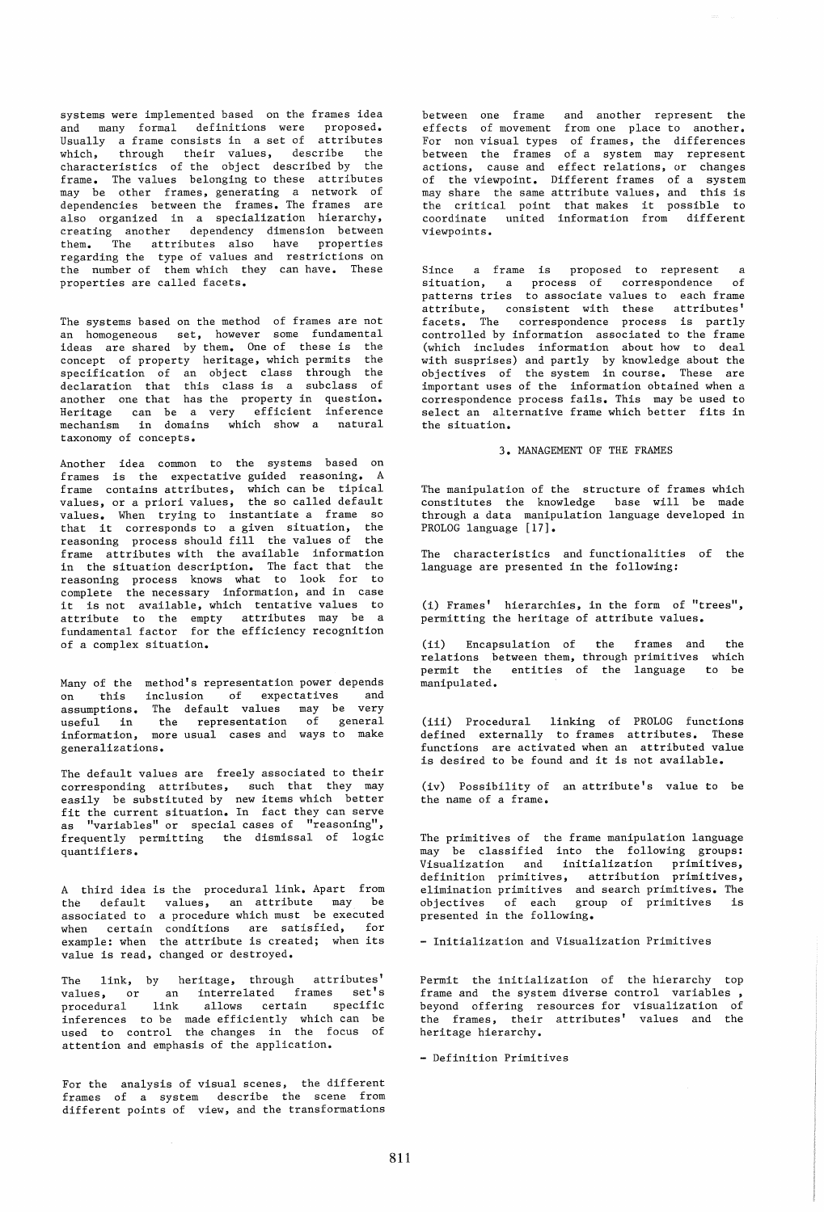systems were implemented based on the frames idea and many formal definitions were proposed. Usually a frame consists in a set of attributes which, through their values, describe the characteristics of the object described by the frame. The values belonging to these attributes may be other frames, generating a network of dependencies between the frames. The frames are also organized in a specialization hierarchy, creating another dependency dimension between them. The attributes also have properties regarding the type of values and restrictions on the number of them which they can have. These properties are called facets.

The systems based on the method of frames are not an homogeneous set, however some fundamental ideas are shared by them. One of these is the concept of property heritage, which permits the specification of an object class through the declaration that this class is a subclass of another one that has the property in question. Heritage can be a very efficient inference mechanism in domains which show a natural taxonomy of concepts.

Another idea common to the systems based on frames is the expectative guided reasoning. A frame contains attributes, which can be tipical values, or a priori values, the so called default values. When trying to instantiate a frame so that it corresponds to a given situation, the reasoning process should fill the values of the frame attributes with the available information in the situation description. The fact that the reasoning process knows what to look for to complete the necessary information, and in case it is not available, which tentative values to attribute to the empty attributes may be a fundamental factor for the efficiency recognition of a complex situation.

Many of the method's representation power depends<br>on this inclusion of expectatives and on this inclusion of expectatives assumptions. The default values may be very useful in the representation of general information, more usual cases and ways to make generalizations.

The default values are freely associated to their corresponding attributes, such that they may easily be substituted by new items which better fit the current situation. In fact they can serve as "variables" or special cases of "reasoning", frequently permitting the dismissal of logic quantifiers.

A third idea is the procedural link. Apart from the default values, an attribute may be associated to a procedure which must be executed when certain conditions are satisfied, for example: when the attribute is created; when its value is read, changed or destroyed.

The link, by heritage, through attributes' values, or an interrelated frames set's procedural link allows certain specific inferences to be made efficiently which can be used to control the changes in the focus of attention and emphasis of the application.

For the analysis of visual scenes, the different frames of a system describe the scene from different points of view, and the transformations

between one frame and another represent the effects of movement from one place to another. For non visual types of frames, the differences between the frames of a system may represent actions, cause and effect relations, or changes of the viewpoint. Different frames of a system may share the same attribute values, and this is the critical point that makes it possible to coordinate united information from different viewpoints.

Since a frame is proposed to represent a situation, a process of correspondence of patterns tries to associate values to each frame .<br>attribute, consistent with these attributes' facets. The correspondence process is partly controlled by information associated to the frame (which includes information about how to deal with susprises) and partly by knowledge about the objectives of the system in course. These are important uses of the information obtained when a correspondence process fails. This may be used to select an alternative frame which better fits in the situation.

3. MANAGEMENT OF THE FRAMES

The manipulation of the structure of frames which constitutes the knowledge base will be made through a data manipulation language developed in PROLOG language [17].

The characteristics and functionalities of the language are presented in the following:

(i) Frames' hierarchies, in the form of "trees", permitting the heritage of attribute values.

(ii) Encapsulation of the frames and relations between them, through primitives relations between them, through primitives which<br>permit the entities of the language to be manipulated. the

(iii) Procedural linking of PROLOG functions defined externally to frames attributes. These functions are activated when an attributed value is desired to be found and it is not available.

(iv) Possibility of an attribute's value to be the name of a frame.

The primitives of the frame manipulation language may be classified into the following groups: Visualization and initialization primitives, definition primitives, attribution primitives, elimination primitives and search primitives. The objectives of each group of primitives is presented in the following.

- Initialization and Visualization Primitives

Permit the initialization of the hierarchy top frame and the system diverse control variables , beyond offering resources for visualization of the frames, their attributes' values and the heritage hierarchy.

- Definition Primitives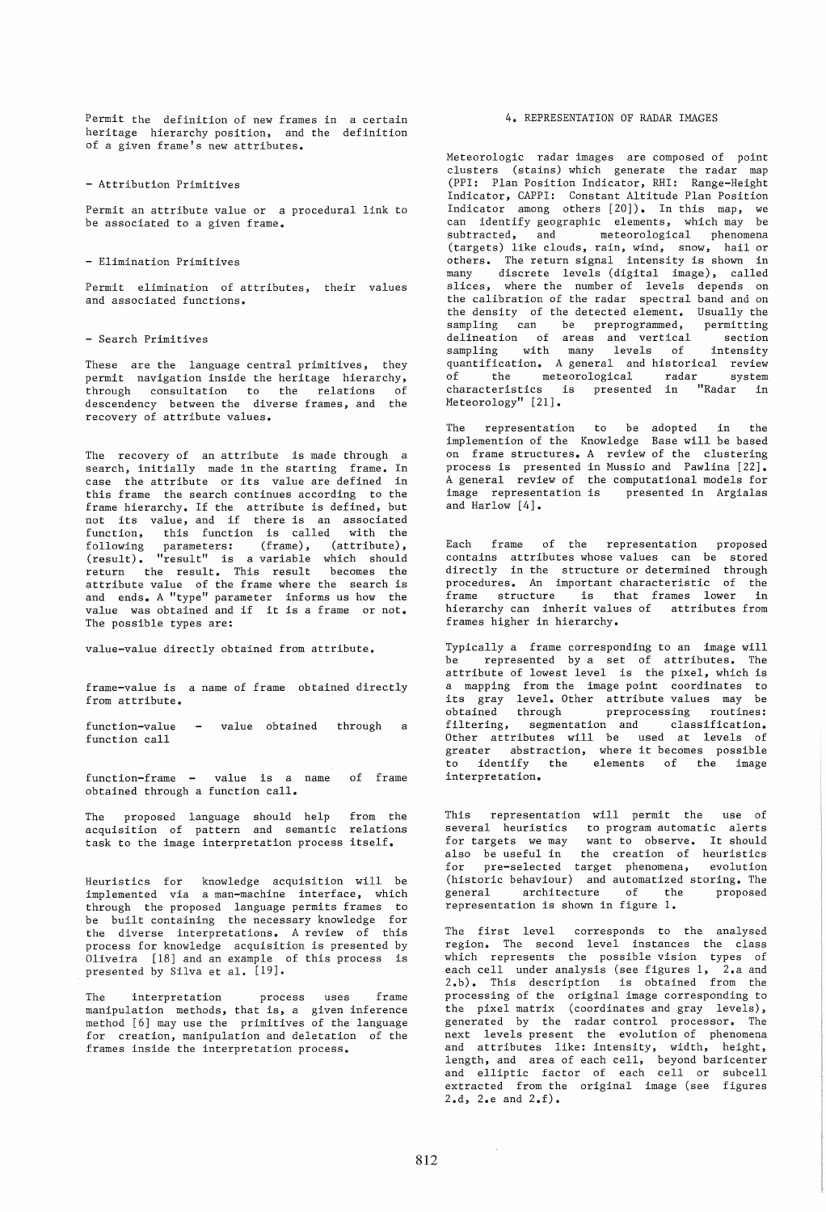Permit the definition of new frames in a certain heritage hierarchy position, and the definition of a given frame's new attributes.

- Attribution Primitives

Permit an attribute value or a procedural link to be associated to a given frame.

### - Elimination Primitives

Permit elimination of attributes, their values and associated functions.

# - Search Primitives

These are the language central primitives, they permit navigation inside the heritage hierarchy, .<br>through consultation to the relations of descendency between the diverse frames, and the recovery of attribute values.

The recovery of an attribute is made through a search, initially made in the starting frame. In case the attribute or its value are defined in this frame the search continues according to the frame hierarchy. If the attribute is defined, but not its value, and if there is an associated function, this function is called with the following parameters: (frame), (attribute), (result). "result" is a variable which should return the result. This result becomes the attribute value of the frame where the search is and ends. A "type" parameter informs us how the value was obtained and if it is a frame or not. The possible types are:

value-value directly obtained from attribute.

frame-value is a name of frame obtained directly from attribute.

function-value function call value obtained through a

function-frame - value is a name obtained through a function call. of frame

The proposed language should help from the acquisition of pattern and semantic relations task to the image interpretation process itself.

Heuristics for knowledge acquisition will be implemented via a man-machine interface, which through the proposed language permits frames to be built containing the necessary knowledge for the diverse interpretations. A review of this process for knowledge acquisition is presented by Oliveira [18] and an example of this process is presented by Silva et al. [19].

The interpretation process uses frame manipulation methods, that is, a given inference method [6] may use the primitives of the language for creation, manipulation and deletation of the frames inside the interpretation process.

## 4. REPRESENTATION OF RADAR IMAGES

Meteorologic radar images are composed of point clusters (stains) which generate the radar map (PPI: Plan Position Indicator, RHI: Range-Height Indicator, CAPPI: Constant Altitude Plan Position Indicator among others [20]). In this map, we can identify geographic elements, which may be<br>subtracted, and meteorological phenomena subtracted, and meteorological phenomena (targets) like clouds, rain, wind, snow, hail or others. The return signal intensity is shown in many discrete levels (digital image), called slices, where the number of levels depends on the calibration of the radar spectral band and on the density of the detected element. Usually the sampling can be preprogrammed, permitting delineation of areas and vertical section sampling with many levels of intensity sampling with many --<br>quantification. A general and historical review<br>of the meteorological radar system of the meteorological radar system characteristics is presented in "Radar in Meteorology" [21].

The representation to be adopted in the implemention of the Knowledge Base will be based on frame structures. A review of the clustering process is presented in Mussio and Pawlina [22]. A general review of the computational models for<br>image representation is presented in Argialas presented in Argialas and Harlow [4].

Each frame of the representation proposed contains attributes whose values can be stored directly in the structure or determined through procedures. An important characteristic of the .<br>frame structure is that frames lower in hierarchy can inherit values of attributes from frames higher in hierarchy.

Typically a frame corresponding to an image will be represented by a set of attributes. The attribute of lowest level is the pixel, which is a mapping from the image point coordinates to its gray level. Other attribute values may be obtained through preprocessing routines: filtering, segmentation and classification. Other attributes will be used at levels of event accribates will be ased at levels of<br>greater abstraction, where it becomes possible to identify the interpretation. elements of the image

This representation will permit the use of several heuristics to program automatic alerts for targets we may want to observe. It should also be useful in the creation of heuristics for pre-selected target phenomena, evolution (historic behaviour) and automatized storing. The general architecture of the representation is shown in figure 1.

The first level corresponds to the analysed region. The second level instances the class which represents the possible vision types of each cell under analysis (see figures 1, 2.a and 2.b). This description is obtained from the processing of the original image corresponding to .<br>the pixel matrix (coordinates and gray levels), generated by the radar control processor. The next levels present the evolution of phenomena and attributes like: intensity, width, height, length, and area of each cell, beyond baricenter and elliptic factor of each cell or subcell extracted from the original image (see figures 2.d, 2.e and 2.f).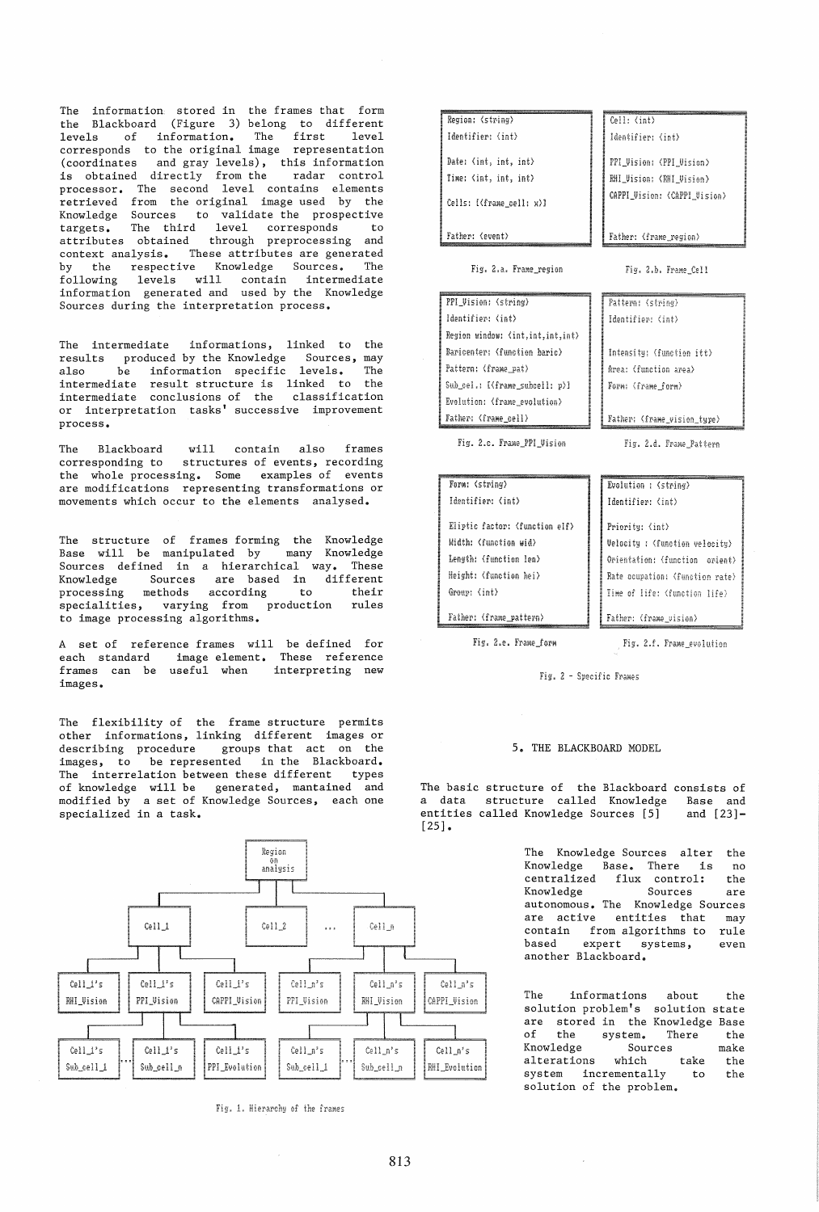The information stored in the frames that form the Blackboard (Figure 3) belong to different levels of information. The first level corresponds to the original image representation (coordinates and gray levels), this information is obtained directly from the radar control processor. The second level contains elements .<br>retrieved from the original image used by the Knowledge Sources to validate the prospective targets. The third level corresponds to attributes obtained through preprocessing and context analysis. These attributes are generated by the respective Knowledge Sources. The following levels will contain intermediate information generated and used by the Knowledge Sources during the interpretation process.

The intermediate informations, linked to the results produced by the Knowledge Sources, may<br>also be information specific levels. The also be information specific levels. The<br>intermediate result\_structure\_is\_linked\_to\_the intermediate result structure is linked to intermediate conclusions of the classification or interpretation tasks' successive improvement process.

The Blackboard will contain also frames corresponding to structures of events, recording the whole processing. Some examples of events are modifications representing transformations or movements which occur to the elements analysed.

The structure of frames forming the Knowledge Base will be manipulated by many Knowledge Sources defined in a hierarchical way. These Knowledge Sources are based in different processing methods according to their .<br>specialities, varying from production rules to image processing algorithms.

A set of reference frames will be defined for each standard image element. frames can be useful when images. These reference interpreting new

The flexibility of the frame structure permits other informations, linking different images or describing procedure groups that act on the images, to be represented in the Blackboard. The interrelation between these different types of knowledge will be generated, mantained and modified by a set of Knowledge Sources, each one specialized in a task.



Fig. 1. Hierarchy of the frames

| Region: (string)         | Cell: (int)                  |
|--------------------------|------------------------------|
| Identifier: (int)        | Identifier: (int)            |
| Date: (int, int, int)    | PPI_Vision: (PPI_Vision)     |
| Time: (int, int, int)    | RHI Vision: 〈RHI Vision〉     |
| Cells: [(frame cell: x)] | CAPPI Vision: (CAPPI Vision) |
| Father: (event)          | Father: (frame_region)       |
| Fig. 2.a. Frame region   | Fig. 2.b. Frame Cell         |

Pattern: (string) Identifier: (int)

Intensity: (function itt) Area: (function area) Form: (frame form)

Father: (frame vision tupe)

Fig. 2.d. Frame\_Pattern

Fig. 2.a. Frame\_region

| PPI_Vision: (string)                |  |  |
|-------------------------------------|--|--|
| Identifier: (int)                   |  |  |
| Region window: (int, int, int, int) |  |  |
| Baricenter: (function haric)        |  |  |
| Pattern: (frame pat)                |  |  |
| Sub_cel.: [(frame subcell: p)]      |  |  |
| Evolution: (frame_evolution)        |  |  |
| Father: (frame cell)                |  |  |

Fig. 2.c. Frame\_PPI\_Vision

| Form: (string)                 | Evolution : (string)            |
|--------------------------------|---------------------------------|
| Identifier: (int)              | Identifier: (int)               |
| Eliptic factor: (function elf) | Priority: (int)                 |
| Width: (function wid)          | Velocity : (function velocity)  |
| Length: (function len)         | Orientation: (function orient)  |
| Height: (function hei)         | Rate ocupation: (function rate) |
| Group: (int)                   | Time of life: (function life)   |
| Father: (frame pattern)        | Father: (frame_vision)          |

Fig. 2.e. Frame\_form

Fig. 2.f. Frame\_evolution

Fig. 2 - Specific Frames

### 5. THE BLACKBOARD MODEL

The basic structure of the Blackboard consists of a data structure called Knowledge Base and<br>entities called Knowledge Sources [5] and [23]entities called Knowledge Sources  $[5]$ [25].

> The Knowledge Sources alter the Knowledge Base. There is no centralized flux control: the Knowledge Sources are autonomous. The Knowledge Sources are active entities that may<br>contain from algorithms to rule contain from algorithms to<br>based expert systems. expert systems, even another Blackboard.

> The informations about the solution problem's solution state are stored in the Knowledge Base<br>of the system. There the of the system. There the<br>Knowledge Sources make Sources<br>which take alterations which take the system incrementally to the solution of the problem.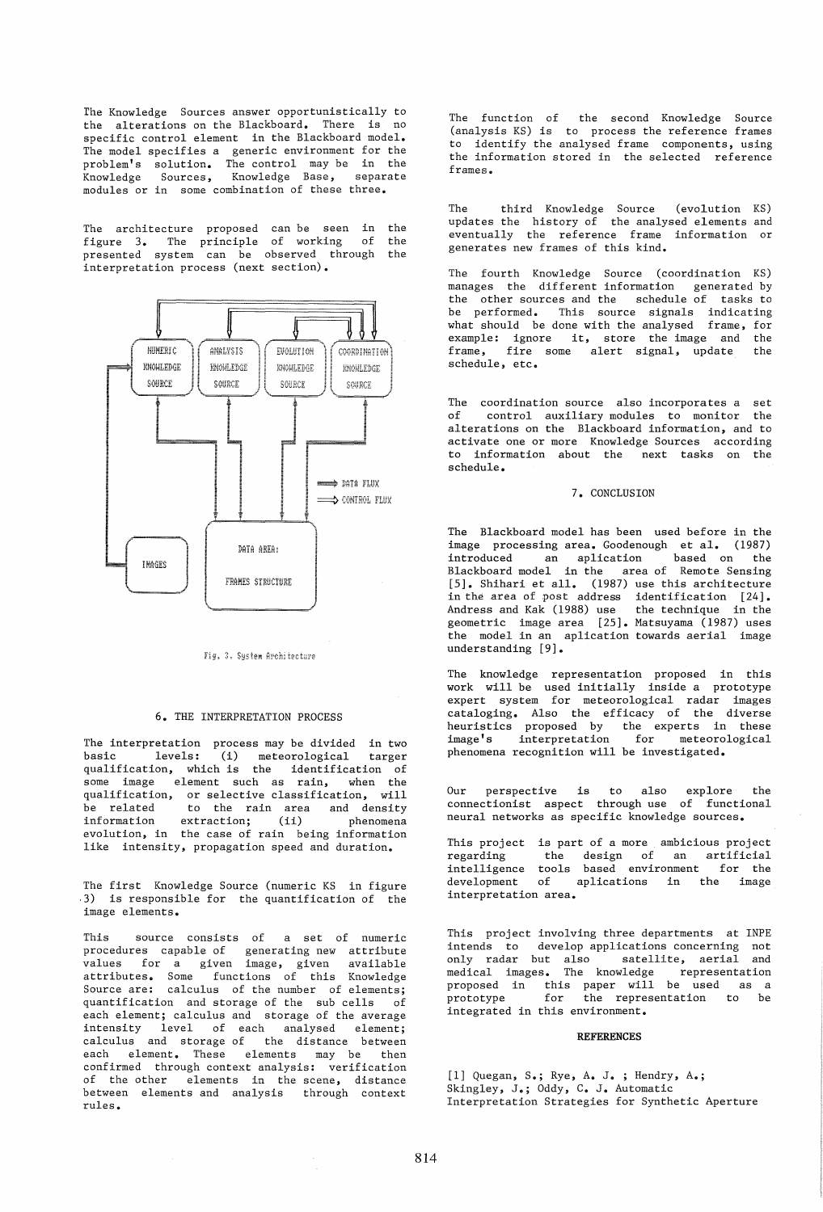The Knowledge Sources answer opportunistically to the alterations on the Blackboard. There is no specific control element in the Blackboard model. The model specifies a generic environment for the problem's solution. The control may be in the .<br>Knowledge Sources, Knowledge Base, separate modules or in some combination of these three.

The architecture proposed can be seen in the figure 3. The principle of working of the presented system can be observed through the interpretation process (next section).



Fig. 3. Sustem Architecture

### 6. THE INTERPRETATION PROCESS

The interpretation process may be divided in two basic levels: (i) meteorological targer qualification, which is the identification of some image element such as rain, when the qualification, or selective classification, will .<br>be related to the rain area and density information extraction; (ii) phenomena information extraction; (ii) phenomena<br>evolution, in the case of rain being information like intensity, propagation speed and duration.

The first Knowledge Source (numeric KS in figure .3) is responsible for the quantification of the image elements.

This source consists of a set of numeric procedures capable of generating new attribute values for a given image, given available attributes. Some functions of this Knowledge Source are: calculus of the number of elements; quantification and storage of the sub cells of each element; calculus and storage of the average intensity level of each analysed element; calculus and storage of the distance between each element. These elements may be then confirmed through context analysis: verification of the other elements in the scene, distance between elements and analysis through context rules.

The function of the second Knowledge Source (analysis KS) is to process the reference frames to identify the analysed frame components, using the information stored in the selected reference frames.

The third Knowledge Source (evolution KS) updates the history of the analysed elements and eventually the reference frame information or generates new frames of this kind.

The fourth Knowledge Source (coordination KS) manages the different information generated by the other sources and the schedule of tasks to be performed. This source signals indicating what should be done with the analysed frame, for example: ignore it, store the image and the  $r_{\text{name}}$  fire some alert signal, undate the frame, fire some alert signal, update schedule, etc.

The coordination source also incorporates a set<br>of control auxiliary modules to monitor the control auxiliary modules to monitor the alterations on the Blackboard information, and to activate one or more Knowledge Sources according to information about the next tasks on the schedule.

### 7. CONCLUSION

The Blackboard model has been used before in the image processing area. Goodenough et al. (1987)<br>introduced an aplication based on the introduced an aplication Blackboard model in the area of Remote Sensing [5]. Shihari et all. (1987) use this architecture in the area of post address identification [24]. Andress and Kak (1988) use the technique in the geometric image area [25]. Matsuyama (1987) uses the model in an aplication towards aerial image understanding [9].

The knowledge representation proposed in this work will be used initially inside a prototype expert system for meteorological radar images cataloging. Also the efficacy of the diverse heuristics proposed by the experts in these image's interpretation for meteorological phenomena recognition will be investigated.

Our perspective is to also explore the connectionist aspect through use of functional neural networks as specific knowledge sources.

This project is part of a more ambicious project regarding the design of an artificial intelligence tools based environment for the development of aplications in the image interpretation area.

This project involving three departments at INPE intends to develop applications concerning not only radar but also satellite, aerial and medical images. The knowledge representation proposed in this paper will be used as a prototype for the representation to be integrated in this environment.

### **REFERENCES**

[1] Quegan, S.; Rye, A. J. ; Hendry, A.; Skingley, J.; Oddy, C. J. Automatic Interpretation Strategies for Synthetic Aperture